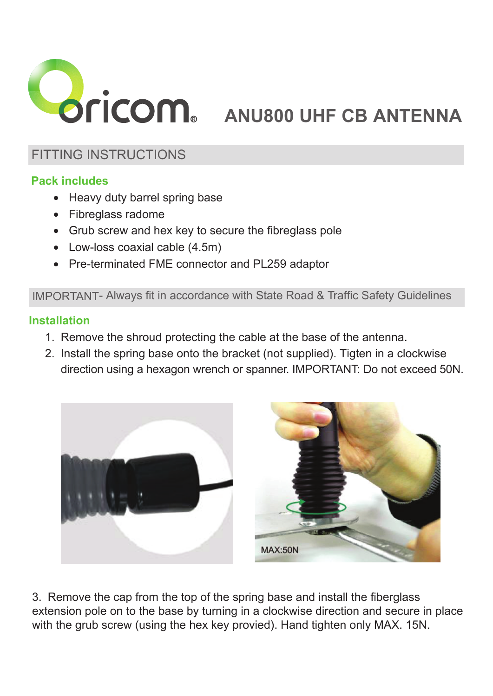

# **ANU800 UHF CB ANTENNA**

# FITTING INSTRUCTIONS

## **Pack includes**

- Heavy duty barrel spring base
- Fibreglass radome
- Grub screw and hex key to secure the fibreglass pole
- Low-loss coaxial cable (4.5m)
- Pre-terminated FME connector and PL259 adaptor

#### IMPORTANT- Always fit in accordance with State Road & Traffic Safety Guidelines

### **Installation**

- 1. Remove the shroud protecting the cable at the base of the antenna.
- 2. Install the spring base onto the bracket (not supplied). Tigten in a clockwise direction using a hexagon wrench or spanner. IMPORTANT: Do not exceed 50N.





3. Remove the cap from the top of the spring base and install the fiberglass extension pole on to the base by turning in a clockwise direction and secure in place with the grub screw (using the hex key provied). Hand tighten only MAX. 15N.